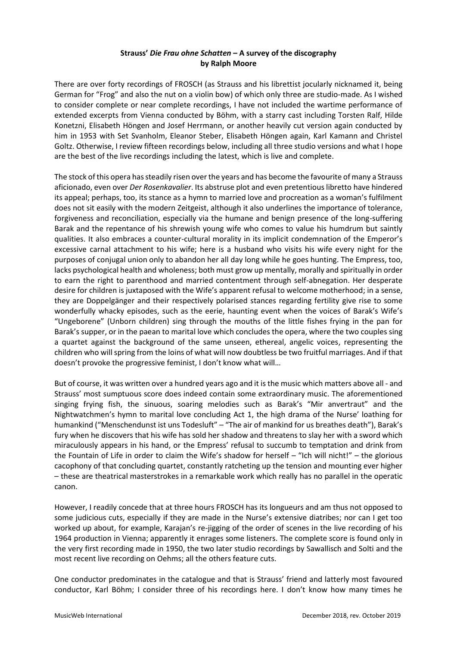# **Strauss'** *Die Frau ohne Schatten* **– A survey of the discography by Ralph Moore**

There are over forty recordings of FROSCH (as Strauss and his librettist jocularly nicknamed it, being German for "Frog" and also the nut on a violin bow) of which only three are studio-made. As I wished to consider complete or near complete recordings, I have not included the wartime performance of extended excerpts from Vienna conducted by Böhm, with a starry cast including Torsten Ralf, Hilde Konetzni, Elisabeth Höngen and Josef Herrmann, or another heavily cut version again conducted by him in 1953 with Set Svanholm, Eleanor Steber, Elisabeth Höngen again, Karl Kamann and Christel Goltz. Otherwise, I review fifteen recordings below, including all three studio versions and what I hope are the best of the live recordings including the latest, which is live and complete.

The stock of this opera has steadily risen over the years and has become the favourite of many a Strauss aficionado, even over *Der Rosenkavalier*. Its abstruse plot and even pretentious libretto have hindered its appeal; perhaps, too, its stance as a hymn to married love and procreation as a woman's fulfilment does not sit easily with the modern Zeitgeist, although it also underlines the importance of tolerance, forgiveness and reconciliation, especially via the humane and benign presence of the long-suffering Barak and the repentance of his shrewish young wife who comes to value his humdrum but saintly qualities. It also embraces a counter-cultural morality in its implicit condemnation of the Emperor's excessive carnal attachment to his wife; here is a husband who visits his wife every night for the purposes of conjugal union only to abandon her all day long while he goes hunting. The Empress, too, lacks psychological health and wholeness; both must grow up mentally, morally and spiritually in order to earn the right to parenthood and married contentment through self-abnegation. Her desperate desire for children is juxtaposed with the Wife's apparent refusal to welcome motherhood; in a sense, they are Doppelgänger and their respectively polarised stances regarding fertility give rise to some wonderfully whacky episodes, such as the eerie, haunting event when the voices of Barak's Wife's "Ungeborene" (Unborn children) sing through the mouths of the little fishes frying in the pan for Barak's supper, or in the paean to marital love which concludes the opera, where the two couples sing a quartet against the background of the same unseen, ethereal, angelic voices, representing the children who will spring from the loins of what will now doubtless be two fruitful marriages. And if that doesn't provoke the progressive feminist, I don't know what will…

But of course, it was written over a hundred years ago and it is the music which matters above all - and Strauss' most sumptuous score does indeed contain some extraordinary music. The aforementioned singing frying fish, the sinuous, soaring melodies such as Barak's "Mir anvertraut" and the Nightwatchmen's hymn to marital love concluding Act 1, the high drama of the Nurse' loathing for humankind ("Menschendunst ist uns Todesluft" – "The air of mankind for us breathes death"), Barak's fury when he discovers that his wife has sold her shadow and threatens to slay her with a sword which miraculously appears in his hand, or the Empress' refusal to succumb to temptation and drink from the Fountain of Life in order to claim the Wife's shadow for herself – "Ich will nicht!" – the glorious cacophony of that concluding quartet, constantly ratcheting up the tension and mounting ever higher – these are theatrical masterstrokes in a remarkable work which really has no parallel in the operatic canon.

However, I readily concede that at three hours FROSCH has its longueurs and am thus not opposed to some judicious cuts, especially if they are made in the Nurse's extensive diatribes; nor can I get too worked up about, for example, Karajan's re-jigging of the order of scenes in the live recording of his 1964 production in Vienna; apparently it enrages some listeners. The complete score is found only in the very first recording made in 1950, the two later studio recordings by Sawallisch and Solti and the most recent live recording on Oehms; all the others feature cuts.

One conductor predominates in the catalogue and that is Strauss' friend and latterly most favoured conductor, Karl Böhm; I consider three of his recordings here. I don't know how many times he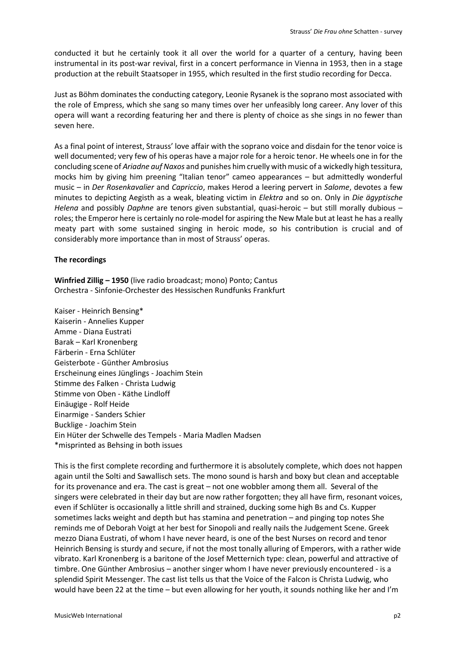conducted it but he certainly took it all over the world for a quarter of a century, having been instrumental in its post-war revival, first in a concert performance in Vienna in 1953, then in a stage production at the rebuilt Staatsoper in 1955, which resulted in the first studio recording for Decca.

Just as Böhm dominates the conducting category, Leonie Rysanek is the soprano most associated with the role of Empress, which she sang so many times over her unfeasibly long career. Any lover of this opera will want a recording featuring her and there is plenty of choice as she sings in no fewer than seven here.

As a final point of interest, Strauss' love affair with the soprano voice and disdain for the tenor voice is well documented; very few of his operas have a major role for a heroic tenor. He wheels one in for the concluding scene of *Ariadne auf Naxos* and punishes him cruelly with music of a wickedly high tessitura, mocks him by giving him preening "Italian tenor" cameo appearances – but admittedly wonderful music – in *Der Rosenkavalier* and *Capriccio*, makes Herod a leering pervert in *Salome*, devotes a few minutes to depicting Aegisth as a weak, bleating victim in *Elektra* and so on. Only in *Die ägyptische Helena* and possibly *Daphne* are tenors given substantial, quasi-heroic – but still morally dubious – roles; the Emperor here is certainly no role-model for aspiring the New Male but at least he has a really meaty part with some sustained singing in heroic mode, so his contribution is crucial and of considerably more importance than in most of Strauss' operas.

# **The recordings**

**Winfried Zillig – 1950** (live radio broadcast; mono) Ponto; Cantus Orchestra - Sinfonie-Orchester des Hessischen Rundfunks Frankfurt

Kaiser - Heinrich Bensing\* Kaiserin - Annelies Kupper Amme - Diana Eustrati Barak – Karl Kronenberg Färberin - Erna Schlüter Geisterbote - Günther Ambrosius Erscheinung eines Jünglings - Joachim Stein Stimme des Falken - Christa Ludwig Stimme von Oben - Käthe Lindloff Einäugige - Rolf Heide Einarmige - Sanders Schier Bucklige - Joachim Stein Ein Hüter der Schwelle des Tempels - Maria Madlen Madsen \*misprinted as Behsing in both issues

This is the first complete recording and furthermore it is absolutely complete, which does not happen again until the Solti and Sawallisch sets. The mono sound is harsh and boxy but clean and acceptable for its provenance and era. The cast is great – not one wobbler among them all. Several of the singers were celebrated in their day but are now rather forgotten; they all have firm, resonant voices, even if Schlüter is occasionally a little shrill and strained, ducking some high Bs and Cs. Kupper sometimes lacks weight and depth but has stamina and penetration – and pinging top notes She reminds me of Deborah Voigt at her best for Sinopoli and really nails the Judgement Scene. Greek mezzo Diana Eustrati, of whom I have never heard, is one of the best Nurses on record and tenor Heinrich Bensing is sturdy and secure, if not the most tonally alluring of Emperors, with a rather wide vibrato. Karl Kronenberg is a baritone of the Josef Metternich type: clean, powerful and attractive of timbre. One Günther Ambrosius – another singer whom I have never previously encountered - is a splendid Spirit Messenger. The cast list tells us that the Voice of the Falcon is Christa Ludwig, who would have been 22 at the time – but even allowing for her youth, it sounds nothing like her and I'm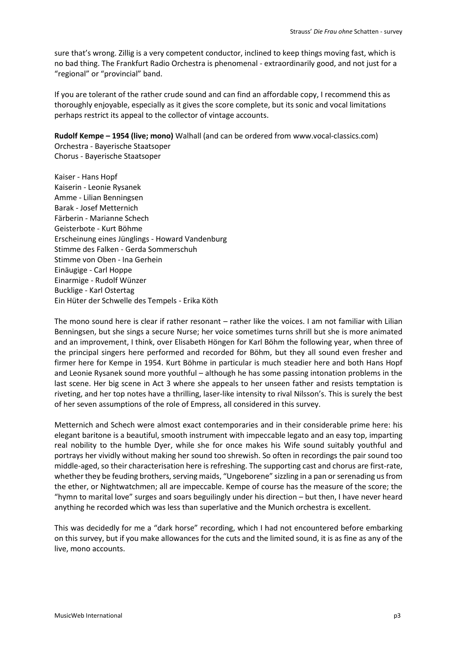sure that's wrong. Zillig is a very competent conductor, inclined to keep things moving fast, which is no bad thing. The Frankfurt Radio Orchestra is phenomenal - extraordinarily good, and not just for a "regional" or "provincial" band.

If you are tolerant of the rather crude sound and can find an affordable copy, I recommend this as thoroughly enjoyable, especially as it gives the score complete, but its sonic and vocal limitations perhaps restrict its appeal to the collector of vintage accounts.

**Rudolf Kempe – 1954 (live; mono)** Walhall (and can be ordered from www.vocal-classics.com) Orchestra - Bayerische Staatsoper Chorus - Bayerische Staatsoper

Kaiser - Hans Hopf Kaiserin - Leonie Rysanek Amme - Lilian Benningsen Barak - Josef Metternich Färberin - Marianne Schech Geisterbote - Kurt Böhme Erscheinung eines Jünglings - Howard Vandenburg Stimme des Falken - Gerda Sommerschuh Stimme von Oben - Ina Gerhein Einäugige - Carl Hoppe Einarmige - Rudolf Wünzer Bucklige - Karl Ostertag Ein Hüter der Schwelle des Tempels - Erika Köth

The mono sound here is clear if rather resonant – rather like the voices. I am not familiar with Lilian Benningsen, but she sings a secure Nurse; her voice sometimes turns shrill but she is more animated and an improvement, I think, over Elisabeth Höngen for Karl Böhm the following year, when three of the principal singers here performed and recorded for Böhm, but they all sound even fresher and firmer here for Kempe in 1954. Kurt Böhme in particular is much steadier here and both Hans Hopf and Leonie Rysanek sound more youthful – although he has some passing intonation problems in the last scene. Her big scene in Act 3 where she appeals to her unseen father and resists temptation is riveting, and her top notes have a thrilling, laser-like intensity to rival Nilsson's. This is surely the best of her seven assumptions of the role of Empress, all considered in this survey.

Metternich and Schech were almost exact contemporaries and in their considerable prime here: his elegant baritone is a beautiful, smooth instrument with impeccable legato and an easy top, imparting real nobility to the humble Dyer, while she for once makes his Wife sound suitably youthful and portrays her vividly without making her sound too shrewish. So often in recordings the pair sound too middle-aged, so their characterisation here is refreshing. The supporting cast and chorus are first-rate, whether they be feuding brothers, serving maids, "Ungeborene" sizzling in a pan or serenading us from the ether, or Nightwatchmen; all are impeccable. Kempe of course has the measure of the score; the "hymn to marital love" surges and soars beguilingly under his direction – but then, I have never heard anything he recorded which was less than superlative and the Munich orchestra is excellent.

This was decidedly for me a "dark horse" recording, which I had not encountered before embarking on this survey, but if you make allowances for the cuts and the limited sound, it is as fine as any of the live, mono accounts.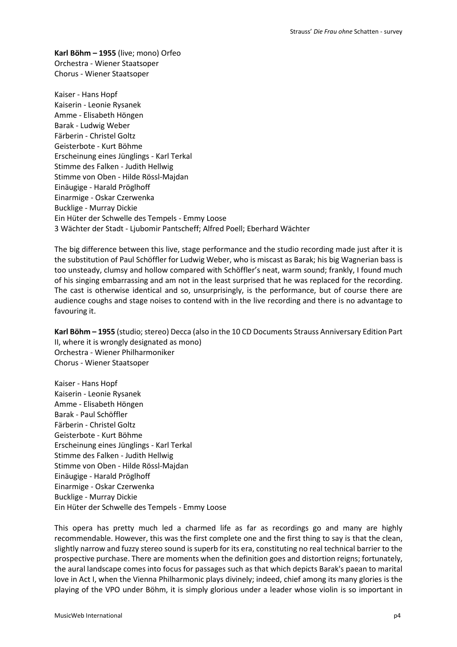**Karl Böhm – 1955** (live; mono) Orfeo Orchestra - Wiener Staatsoper Chorus - Wiener Staatsoper

Kaiser - Hans Hopf Kaiserin - Leonie Rysanek Amme - Elisabeth Höngen Barak - Ludwig Weber Färberin - Christel Goltz Geisterbote - Kurt Böhme Erscheinung eines Jünglings - Karl Terkal Stimme des Falken - Judith Hellwig Stimme von Oben - Hilde Rössl-Majdan Einäugige - Harald Pröglhoff Einarmige - Oskar Czerwenka Bucklige - Murray Dickie Ein Hüter der Schwelle des Tempels - Emmy Loose 3 Wächter der Stadt - Ljubomir Pantscheff; Alfred Poell; Eberhard Wächter

The big difference between this live, stage performance and the studio recording made just after it is the substitution of Paul Schöffler for Ludwig Weber, who is miscast as Barak; his big Wagnerian bass is too unsteady, clumsy and hollow compared with Schöffler's neat, warm sound; frankly, I found much of his singing embarrassing and am not in the least surprised that he was replaced for the recording. The cast is otherwise identical and so, unsurprisingly, is the performance, but of course there are audience coughs and stage noises to contend with in the live recording and there is no advantage to favouring it.

**Karl Böhm – 1955** (studio; stereo) Decca (also in the 10 CD Documents Strauss Anniversary Edition Part II, where it is wrongly designated as mono) Orchestra - Wiener Philharmoniker Chorus - Wiener Staatsoper

Kaiser - Hans Hopf Kaiserin - Leonie Rysanek Amme - Elisabeth Höngen Barak - Paul Schöffler Färberin - Christel Goltz Geisterbote - Kurt Böhme Erscheinung eines Jünglings - Karl Terkal Stimme des Falken - Judith Hellwig Stimme von Oben - Hilde Rössl-Majdan Einäugige - Harald Pröglhoff Einarmige - Oskar Czerwenka Bucklige - Murray Dickie Ein Hüter der Schwelle des Tempels - Emmy Loose

This opera has pretty much led a charmed life as far as recordings go and many are highly recommendable. However, this was the first complete one and the first thing to say is that the clean, slightly narrow and fuzzy stereo sound is superb for its era, constituting no real technical barrier to the prospective purchase. There are moments when the definition goes and distortion reigns; fortunately, the aural landscape comes into focus for passages such as that which depicts Barak's paean to marital love in Act I, when the Vienna Philharmonic plays divinely; indeed, chief among its many glories is the playing of the VPO under Böhm, it is simply glorious under a leader whose violin is so important in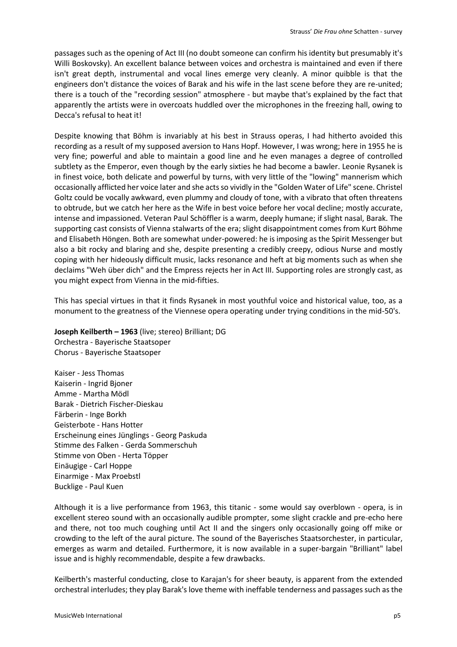passages such as the opening of Act III (no doubt someone can confirm his identity but presumably it's Willi Boskovsky). An excellent balance between voices and orchestra is maintained and even if there isn't great depth, instrumental and vocal lines emerge very cleanly. A minor quibble is that the engineers don't distance the voices of Barak and his wife in the last scene before they are re-united; there is a touch of the "recording session" atmosphere - but maybe that's explained by the fact that apparently the artists were in overcoats huddled over the microphones in the freezing hall, owing to Decca's refusal to heat it!

Despite knowing that Böhm is invariably at his best in Strauss operas, I had hitherto avoided this recording as a result of my supposed aversion to Hans Hopf. However, I was wrong; here in 1955 he is very fine; powerful and able to maintain a good line and he even manages a degree of controlled subtlety as the Emperor, even though by the early sixties he had become a bawler. Leonie Rysanek is in finest voice, both delicate and powerful by turns, with very little of the "lowing" mannerism which occasionally afflicted her voice later and she acts so vividly in the "Golden Water of Life" scene. Christel Goltz could be vocally awkward, even plummy and cloudy of tone, with a vibrato that often threatens to obtrude, but we catch her here as the Wife in best voice before her vocal decline; mostly accurate, intense and impassioned. Veteran Paul Schöffler is a warm, deeply humane; if slight nasal, Barak. The supporting cast consists of Vienna stalwarts of the era; slight disappointment comes from Kurt Böhme and Elisabeth Höngen. Both are somewhat under-powered: he is imposing as the Spirit Messenger but also a bit rocky and blaring and she, despite presenting a credibly creepy, odious Nurse and mostly coping with her hideously difficult music, lacks resonance and heft at big moments such as when she declaims "Weh über dich" and the Empress rejects her in Act III. Supporting roles are strongly cast, as you might expect from Vienna in the mid-fifties.

This has special virtues in that it finds Rysanek in most youthful voice and historical value, too, as a monument to the greatness of the Viennese opera operating under trying conditions in the mid-50's.

# **Joseph Keilberth – 1963** (live; stereo) Brilliant; DG

Orchestra - Bayerische Staatsoper Chorus - Bayerische Staatsoper

Kaiser - Jess Thomas Kaiserin - Ingrid Bjoner Amme - Martha Mödl Barak - Dietrich Fischer-Dieskau Färberin - Inge Borkh Geisterbote - Hans Hotter Erscheinung eines Jünglings - Georg Paskuda Stimme des Falken - Gerda Sommerschuh Stimme von Oben - Herta Töpper Einäugige - Carl Hoppe Einarmige - Max Proebstl Bucklige - Paul Kuen

Although it is a live performance from 1963, this titanic - some would say overblown - opera, is in excellent stereo sound with an occasionally audible prompter, some slight crackle and pre-echo here and there, not too much coughing until Act II and the singers only occasionally going off mike or crowding to the left of the aural picture. The sound of the Bayerisches Staatsorchester, in particular, emerges as warm and detailed. Furthermore, it is now available in a super-bargain "Brilliant" label issue and is highly recommendable, despite a few drawbacks.

Keilberth's masterful conducting, close to Karajan's for sheer beauty, is apparent from the extended orchestral interludes; they play Barak's love theme with ineffable tenderness and passages such as the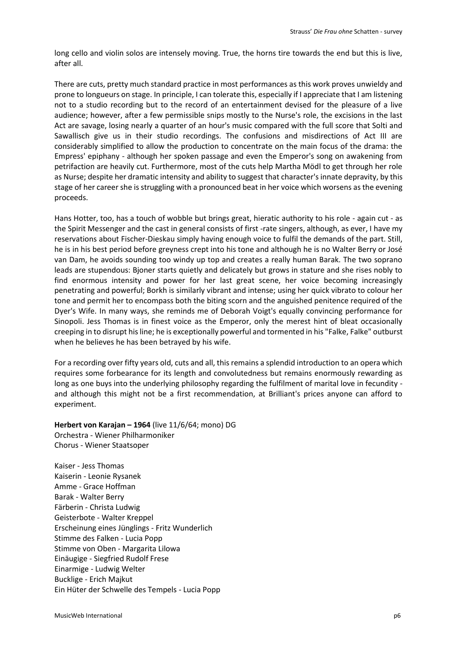long cello and violin solos are intensely moving. True, the horns tire towards the end but this is live, after all.

There are cuts, pretty much standard practice in most performances as this work proves unwieldy and prone to longueurs on stage. In principle, I can tolerate this, especially if I appreciate that I am listening not to a studio recording but to the record of an entertainment devised for the pleasure of a live audience; however, after a few permissible snips mostly to the Nurse's role, the excisions in the last Act are savage, losing nearly a quarter of an hour's music compared with the full score that Solti and Sawallisch give us in their studio recordings. The confusions and misdirections of Act III are considerably simplified to allow the production to concentrate on the main focus of the drama: the Empress' epiphany - although her spoken passage and even the Emperor's song on awakening from petrifaction are heavily cut. Furthermore, most of the cuts help Martha Mödl to get through her role as Nurse; despite her dramatic intensity and ability to suggest that character's innate depravity, by this stage of her career she is struggling with a pronounced beat in her voice which worsens as the evening proceeds.

Hans Hotter, too, has a touch of wobble but brings great, hieratic authority to his role - again cut - as the Spirit Messenger and the cast in general consists of first -rate singers, although, as ever, I have my reservations about Fischer-Dieskau simply having enough voice to fulfil the demands of the part. Still, he is in his best period before greyness crept into his tone and although he is no Walter Berry or José van Dam, he avoids sounding too windy up top and creates a really human Barak. The two soprano leads are stupendous: Bjoner starts quietly and delicately but grows in stature and she rises nobly to find enormous intensity and power for her last great scene, her voice becoming increasingly penetrating and powerful; Borkh is similarly vibrant and intense; using her quick vibrato to colour her tone and permit her to encompass both the biting scorn and the anguished penitence required of the Dyer's Wife. In many ways, she reminds me of Deborah Voigt's equally convincing performance for Sinopoli. Jess Thomas is in finest voice as the Emperor, only the merest hint of bleat occasionally creeping in to disrupt his line; he is exceptionally powerful and tormented in his "Falke, Falke" outburst when he believes he has been betrayed by his wife.

For a recording over fifty years old, cuts and all, this remains a splendid introduction to an opera which requires some forbearance for its length and convolutedness but remains enormously rewarding as long as one buys into the underlying philosophy regarding the fulfilment of marital love in fecundity and although this might not be a first recommendation, at Brilliant's prices anyone can afford to experiment.

# **Herbert von Karajan – 1964** (live 11/6/64; mono) DG Orchestra - Wiener Philharmoniker Chorus - Wiener Staatsoper

Kaiser - Jess Thomas Kaiserin - Leonie Rysanek Amme - Grace Hoffman Barak - Walter Berry Färberin - Christa Ludwig Geisterbote - Walter Kreppel Erscheinung eines Jünglings - Fritz Wunderlich Stimme des Falken - Lucia Popp Stimme von Oben - Margarita Lilowa Einäugige - Siegfried Rudolf Frese Einarmige - Ludwig Welter Bucklige - Erich Majkut Ein Hüter der Schwelle des Tempels - Lucia Popp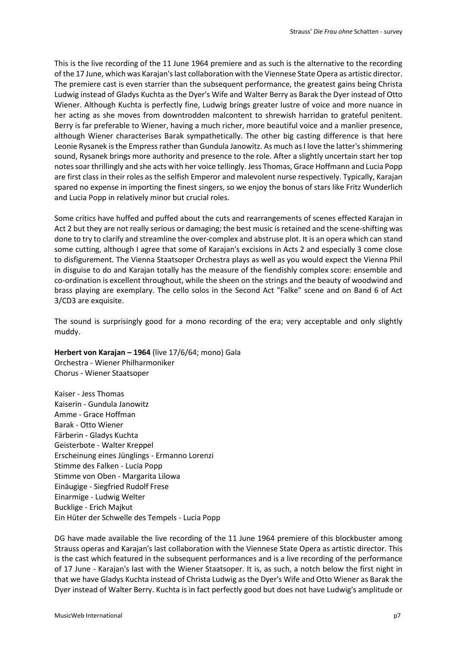This is the live recording of the 11 June 1964 premiere and as such is the alternative to the recording of the 17 June, which was Karajan's last collaboration with the Viennese State Opera as artistic director. The premiere cast is even starrier than the subsequent performance, the greatest gains being Christa Ludwig instead of Gladys Kuchta as the Dyer's Wife and Walter Berry as Barak the Dyer instead of Otto Wiener. Although Kuchta is perfectly fine, Ludwig brings greater lustre of voice and more nuance in her acting as she moves from downtrodden malcontent to shrewish harridan to grateful penitent. Berry is far preferable to Wiener, having a much richer, more beautiful voice and a manlier presence, although Wiener characterises Barak sympathetically. The other big casting difference is that here Leonie Rysanek is the Empress rather than Gundula Janowitz. As much as I love the latter's shimmering sound, Rysanek brings more authority and presence to the role. After a slightly uncertain start her top notes soar thrillingly and she acts with her voice tellingly. Jess Thomas, Grace Hoffmann and Lucia Popp are first class in their roles as the selfish Emperor and malevolent nurse respectively. Typically, Karajan spared no expense in importing the finest singers, so we enjoy the bonus of stars like Fritz Wunderlich and Lucia Popp in relatively minor but crucial roles.

Some critics have huffed and puffed about the cuts and rearrangements of scenes effected Karajan in Act 2 but they are not really serious or damaging; the best music is retained and the scene-shifting was done to try to clarify and streamline the over-complex and abstruse plot. It is an opera which can stand some cutting, although I agree that some of Karajan's excisions in Acts 2 and especially 3 come close to disfigurement. The Vienna Staatsoper Orchestra plays as well as you would expect the Vienna Phil in disguise to do and Karajan totally has the measure of the fiendishly complex score: ensemble and co-ordination is excellent throughout, while the sheen on the strings and the beauty of woodwind and brass playing are exemplary. The cello solos in the Second Act "Falke" scene and on Band 6 of Act 3/CD3 are exquisite.

The sound is surprisingly good for a mono recording of the era; very acceptable and only slightly muddy.

**Herbert von Karajan – 1964** (live 17/6/64; mono) Gala Orchestra - Wiener Philharmoniker Chorus - Wiener Staatsoper

Kaiser - Jess Thomas Kaiserin - Gundula Janowitz Amme - Grace Hoffman Barak - Otto Wiener Färberin - Gladys Kuchta Geisterbote - Walter Kreppel Erscheinung eines Jünglings - Ermanno Lorenzi Stimme des Falken - Lucia Popp Stimme von Oben - Margarita Lilowa Einäugige - Siegfried Rudolf Frese Einarmige - Ludwig Welter Bucklige - Erich Majkut Ein Hüter der Schwelle des Tempels - Lucia Popp

DG have made available the live recording of the 11 June 1964 premiere of this blockbuster among Strauss operas and Karajan's last collaboration with the Viennese State Opera as artistic director. This is the cast which featured in the subsequent performances and is a live recording of the performance of 17 June - Karajan's last with the Wiener Staatsoper. It is, as such, a notch below the first night in that we have Gladys Kuchta instead of Christa Ludwig as the Dyer's Wife and Otto Wiener as Barak the Dyer instead of Walter Berry. Kuchta is in fact perfectly good but does not have Ludwig's amplitude or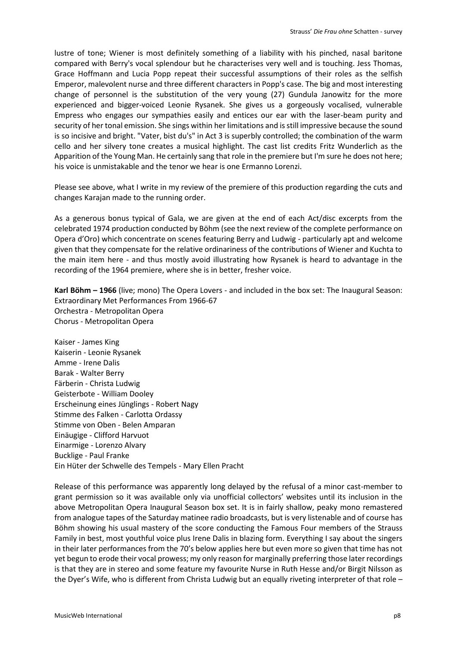lustre of tone; Wiener is most definitely something of a liability with his pinched, nasal baritone compared with Berry's vocal splendour but he characterises very well and is touching. Jess Thomas, Grace Hoffmann and Lucia Popp repeat their successful assumptions of their roles as the selfish Emperor, malevolent nurse and three different characters in Popp's case. The big and most interesting change of personnel is the substitution of the very young (27) Gundula Janowitz for the more experienced and bigger-voiced Leonie Rysanek. She gives us a gorgeously vocalised, vulnerable Empress who engages our sympathies easily and entices our ear with the laser-beam purity and security of her tonal emission. She sings within her limitations and is still impressive because the sound is so incisive and bright. "Vater, bist du's" in Act 3 is superbly controlled; the combination of the warm cello and her silvery tone creates a musical highlight. The cast list credits Fritz Wunderlich as the Apparition of the Young Man. He certainly sang that role in the premiere but I'm sure he does not here; his voice is unmistakable and the tenor we hear is one Ermanno Lorenzi.

Please see above, what I write in my review of the premiere of this production regarding the cuts and changes Karajan made to the running order.

As a generous bonus typical of Gala, we are given at the end of each Act/disc excerpts from the celebrated 1974 production conducted by Böhm (see the next review of the complete performance on Opera d'Oro) which concentrate on scenes featuring Berry and Ludwig - particularly apt and welcome given that they compensate for the relative ordinariness of the contributions of Wiener and Kuchta to the main item here - and thus mostly avoid illustrating how Rysanek is heard to advantage in the recording of the 1964 premiere, where she is in better, fresher voice.

**Karl Böhm – 1966** (live; mono) The Opera Lovers - and included in the box set: The Inaugural Season: Extraordinary Met Performances From 1966-67 Orchestra - Metropolitan Opera Chorus - Metropolitan Opera

Kaiser - James King Kaiserin - Leonie Rysanek Amme - Irene Dalis Barak - Walter Berry Färberin - Christa Ludwig Geisterbote - William Dooley Erscheinung eines Jünglings - Robert Nagy Stimme des Falken - Carlotta Ordassy Stimme von Oben - Belen Amparan Einäugige - Clifford Harvuot Einarmige - Lorenzo Alvary Bucklige - Paul Franke Ein Hüter der Schwelle des Tempels - Mary Ellen Pracht

Release of this performance was apparently long delayed by the refusal of a minor cast-member to grant permission so it was available only via unofficial collectors' websites until its inclusion in the above Metropolitan Opera Inaugural Season box set. It is in fairly shallow, peaky mono remastered from analogue tapes of the Saturday matinee radio broadcasts, but is very listenable and of course has Böhm showing his usual mastery of the score conducting the Famous Four members of the Strauss Family in best, most youthful voice plus Irene Dalis in blazing form. Everything I say about the singers in their later performances from the 70's below applies here but even more so given that time has not yet begun to erode their vocal prowess; my only reason for marginally preferring those later recordings is that they are in stereo and some feature my favourite Nurse in Ruth Hesse and/or Birgit Nilsson as the Dyer's Wife, who is different from Christa Ludwig but an equally riveting interpreter of that role –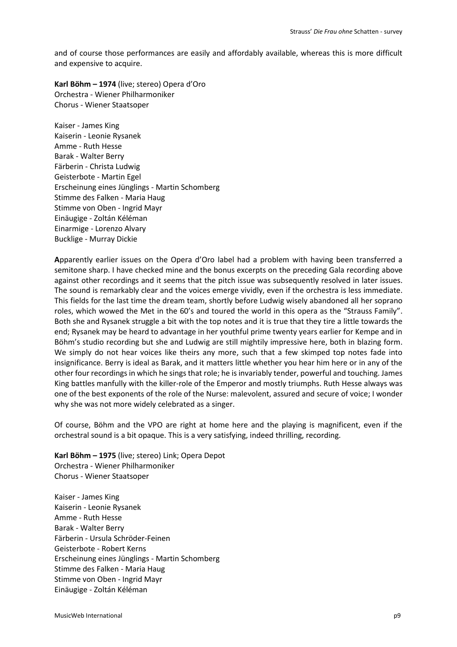and of course those performances are easily and affordably available, whereas this is more difficult and expensive to acquire.

**Karl Böhm – 1974** (live; stereo) Opera d'Oro Orchestra - Wiener Philharmoniker Chorus - Wiener Staatsoper

Kaiser - James King Kaiserin - Leonie Rysanek Amme - Ruth Hesse Barak - Walter Berry Färberin - Christa Ludwig Geisterbote - Martin Egel Erscheinung eines Jünglings - Martin Schomberg Stimme des Falken - Maria Haug Stimme von Oben - Ingrid Mayr Einäugige - Zoltán Kéléman Einarmige - Lorenzo Alvary Bucklige - Murray Dickie

**A**pparently earlier issues on the Opera d'Oro label had a problem with having been transferred a semitone sharp. I have checked mine and the bonus excerpts on the preceding Gala recording above against other recordings and it seems that the pitch issue was subsequently resolved in later issues. The sound is remarkably clear and the voices emerge vividly, even if the orchestra is less immediate. This fields for the last time the dream team, shortly before Ludwig wisely abandoned all her soprano roles, which wowed the Met in the 60's and toured the world in this opera as the "Strauss Family". Both she and Rysanek struggle a bit with the top notes and it is true that they tire a little towards the end; Rysanek may be heard to advantage in her youthful prime twenty years earlier for Kempe and in Böhm's studio recording but she and Ludwig are still mightily impressive here, both in blazing form. We simply do not hear voices like theirs any more, such that a few skimped top notes fade into insignificance. Berry is ideal as Barak, and it matters little whether you hear him here or in any of the other four recordings in which he sings that role; he is invariably tender, powerful and touching. James King battles manfully with the killer-role of the Emperor and mostly triumphs. Ruth Hesse always was one of the best exponents of the role of the Nurse: malevolent, assured and secure of voice; I wonder why she was not more widely celebrated as a singer.

Of course, Böhm and the VPO are right at home here and the playing is magnificent, even if the orchestral sound is a bit opaque. This is a very satisfying, indeed thrilling, recording.

**Karl Böhm – 1975** (live; stereo) Link; Opera Depot Orchestra - Wiener Philharmoniker Chorus - Wiener Staatsoper

Kaiser - James King Kaiserin - Leonie Rysanek Amme - Ruth Hesse Barak - Walter Berry Färberin - Ursula Schröder-Feinen Geisterbote - Robert Kerns Erscheinung eines Jünglings - Martin Schomberg Stimme des Falken - Maria Haug Stimme von Oben - Ingrid Mayr Einäugige - Zoltán Kéléman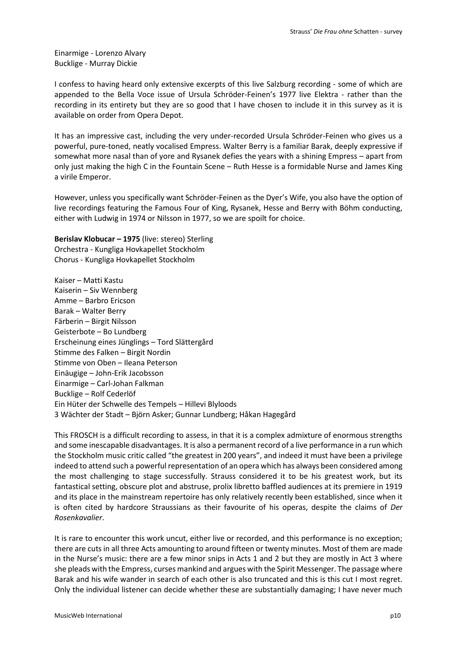Einarmige - Lorenzo Alvary Bucklige - Murray Dickie

I confess to having heard only extensive excerpts of this live Salzburg recording - some of which are appended to the Bella Voce issue of Ursula Schröder-Feinen's 1977 live Elektra - rather than the recording in its entirety but they are so good that I have chosen to include it in this survey as it is available on order from Opera Depot.

It has an impressive cast, including the very under-recorded Ursula Schröder-Feinen who gives us a powerful, pure-toned, neatly vocalised Empress. Walter Berry is a familiar Barak, deeply expressive if somewhat more nasal than of yore and Rysanek defies the years with a shining Empress – apart from only just making the high C in the Fountain Scene – Ruth Hesse is a formidable Nurse and James King a virile Emperor.

However, unless you specifically want Schröder-Feinen as the Dyer's Wife, you also have the option of live recordings featuring the Famous Four of King, Rysanek, Hesse and Berry with Böhm conducting, either with Ludwig in 1974 or Nilsson in 1977, so we are spoilt for choice.

**Berislav Klobucar – 1975** (live: stereo) Sterling Orchestra - Kungliga Hovkapellet Stockholm Chorus - Kungliga Hovkapellet Stockholm

Kaiser – Matti Kastu Kaiserin – Siv Wennberg Amme – Barbro Ericson Barak – Walter Berry Färberin – Birgit Nilsson Geisterbote – Bo Lundberg Erscheinung eines Jünglings – Tord Slättergård Stimme des Falken – Birgit Nordin Stimme von Oben – Ileana Peterson Einäugige – John-Erik Jacobsson Einarmige – Carl-Johan Falkman Bucklige – Rolf Cederlöf Ein Hüter der Schwelle des Tempels – Hillevi Blyloods 3 Wächter der Stadt – Björn Asker; Gunnar Lundberg; Håkan Hagegård

This FROSCH is a difficult recording to assess, in that it is a complex admixture of enormous strengths and some inescapable disadvantages. It is also a permanent record of a live performance in a run which the Stockholm music critic called "the greatest in 200 years", and indeed it must have been a privilege indeed to attend such a powerful representation of an opera which has always been considered among the most challenging to stage successfully. Strauss considered it to be his greatest work, but its fantastical setting, obscure plot and abstruse, prolix libretto baffled audiences at its premiere in 1919 and its place in the mainstream repertoire has only relatively recently been established, since when it is often cited by hardcore Straussians as their favourite of his operas, despite the claims of *Der Rosenkavalier*.

It is rare to encounter this work uncut, either live or recorded, and this performance is no exception; there are cuts in all three Acts amounting to around fifteen or twenty minutes. Most of them are made in the Nurse's music: there are a few minor snips in Acts 1 and 2 but they are mostly in Act 3 where she pleads with the Empress, curses mankind and argues with the Spirit Messenger. The passage where Barak and his wife wander in search of each other is also truncated and this is this cut I most regret. Only the individual listener can decide whether these are substantially damaging; I have never much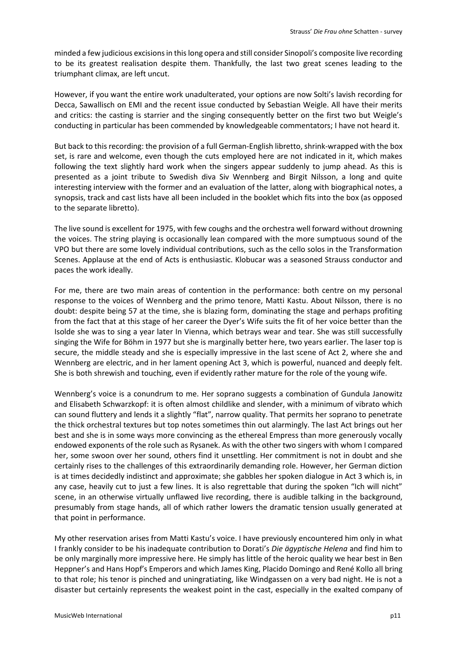minded a few judicious excisions in this long opera and still consider Sinopoli's composite live recording to be its greatest realisation despite them. Thankfully, the last two great scenes leading to the triumphant climax, are left uncut.

However, if you want the entire work unadulterated, your options are now Solti's lavish recording for Decca, Sawallisch on EMI and the recent issue conducted by Sebastian Weigle. All have their merits and critics: the casting is starrier and the singing consequently better on the first two but Weigle's conducting in particular has been commended by knowledgeable commentators; I have not heard it.

But back to this recording: the provision of a full German-English libretto, shrink-wrapped with the box set, is rare and welcome, even though the cuts employed here are not indicated in it, which makes following the text slightly hard work when the singers appear suddenly to jump ahead. As this is presented as a joint tribute to Swedish diva Siv Wennberg and Birgit Nilsson, a long and quite interesting interview with the former and an evaluation of the latter, along with biographical notes, a synopsis, track and cast lists have all been included in the booklet which fits into the box (as opposed to the separate libretto).

The live sound is excellent for 1975, with few coughs and the orchestra well forward without drowning the voices. The string playing is occasionally lean compared with the more sumptuous sound of the VPO but there are some lovely individual contributions, such as the cello solos in the Transformation Scenes. Applause at the end of Acts is enthusiastic. Klobucar was a seasoned Strauss conductor and paces the work ideally.

For me, there are two main areas of contention in the performance: both centre on my personal response to the voices of Wennberg and the primo tenore, Matti Kastu. About Nilsson, there is no doubt: despite being 57 at the time, she is blazing form, dominating the stage and perhaps profiting from the fact that at this stage of her career the Dyer's Wife suits the fit of her voice better than the Isolde she was to sing a year later In Vienna, which betrays wear and tear. She was still successfully singing the Wife for Böhm in 1977 but she is marginally better here, two years earlier. The laser top is secure, the middle steady and she is especially impressive in the last scene of Act 2, where she and Wennberg are electric, and in her lament opening Act 3, which is powerful, nuanced and deeply felt. She is both shrewish and touching, even if evidently rather mature for the role of the young wife.

Wennberg's voice is a conundrum to me. Her soprano suggests a combination of Gundula Janowitz and Elisabeth Schwarzkopf: it is often almost childlike and slender, with a minimum of vibrato which can sound fluttery and lends it a slightly "flat", narrow quality. That permits her soprano to penetrate the thick orchestral textures but top notes sometimes thin out alarmingly. The last Act brings out her best and she is in some ways more convincing as the ethereal Empress than more generously vocally endowed exponents of the role such as Rysanek. As with the other two singers with whom I compared her, some swoon over her sound, others find it unsettling. Her commitment is not in doubt and she certainly rises to the challenges of this extraordinarily demanding role. However, her German diction is at times decidedly indistinct and approximate; she gabbles her spoken dialogue in Act 3 which is, in any case, heavily cut to just a few lines. It is also regrettable that during the spoken "Ich will nicht" scene, in an otherwise virtually unflawed live recording, there is audible talking in the background, presumably from stage hands, all of which rather lowers the dramatic tension usually generated at that point in performance.

My other reservation arises from Matti Kastu's voice. I have previously encountered him only in what I frankly consider to be his inadequate contribution to Dorati's *Die ägyptische Helena* and find him to be only marginally more impressive here. He simply has little of the heroic quality we hear best in Ben Heppner's and Hans Hopf's Emperors and which James King, Placido Domingo and René Kollo all bring to that role; his tenor is pinched and uningratiating, like Windgassen on a very bad night. He is not a disaster but certainly represents the weakest point in the cast, especially in the exalted company of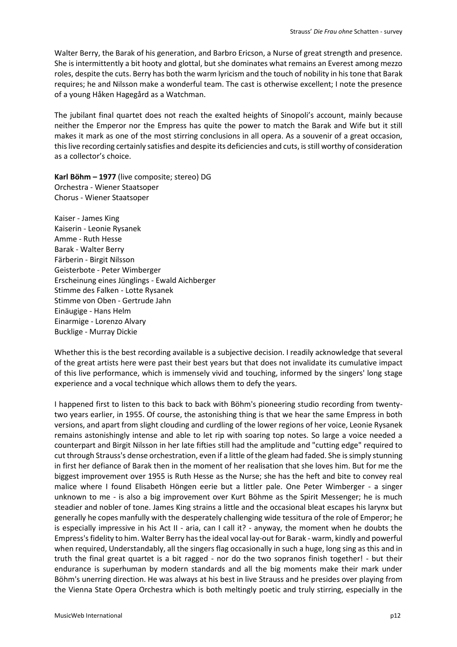Walter Berry, the Barak of his generation, and Barbro Ericson, a Nurse of great strength and presence. She is intermittently a bit hooty and glottal, but she dominates what remains an Everest among mezzo roles, despite the cuts. Berry has both the warm lyricism and the touch of nobility in his tone that Barak requires; he and Nilsson make a wonderful team. The cast is otherwise excellent; I note the presence of a young Håken Hagegård as a Watchman.

The jubilant final quartet does not reach the exalted heights of Sinopoli's account, mainly because neither the Emperor nor the Empress has quite the power to match the Barak and Wife but it still makes it mark as one of the most stirring conclusions in all opera. As a souvenir of a great occasion, this live recording certainly satisfies and despite its deficiencies and cuts, is still worthy of consideration as a collector's choice.

**Karl Böhm – 1977** (live composite; stereo) DG Orchestra - Wiener Staatsoper Chorus - Wiener Staatsoper

Kaiser - James King Kaiserin - Leonie Rysanek Amme - Ruth Hesse Barak - Walter Berry Färberin - Birgit Nilsson Geisterbote - Peter Wimberger Erscheinung eines Jünglings - Ewald Aichberger Stimme des Falken - Lotte Rysanek Stimme von Oben - Gertrude Jahn Einäugige - Hans Helm Einarmige - Lorenzo Alvary Bucklige - Murray Dickie

Whether this is the best recording available is a subjective decision. I readily acknowledge that several of the great artists here were past their best years but that does not invalidate its cumulative impact of this live performance, which is immensely vivid and touching, informed by the singers' long stage experience and a vocal technique which allows them to defy the years.

I happened first to listen to this back to back with Böhm's pioneering studio recording from twentytwo years earlier, in 1955. Of course, the astonishing thing is that we hear the same Empress in both versions, and apart from slight clouding and curdling of the lower regions of her voice, Leonie Rysanek remains astonishingly intense and able to let rip with soaring top notes. So large a voice needed a counterpart and Birgit Nilsson in her late fifties still had the amplitude and "cutting edge" required to cut through Strauss's dense orchestration, even if a little of the gleam had faded. She is simply stunning in first her defiance of Barak then in the moment of her realisation that she loves him. But for me the biggest improvement over 1955 is Ruth Hesse as the Nurse; she has the heft and bite to convey real malice where I found Elisabeth Höngen eerie but a littler pale. One Peter Wimberger - a singer unknown to me - is also a big improvement over Kurt Böhme as the Spirit Messenger; he is much steadier and nobler of tone. James King strains a little and the occasional bleat escapes his larynx but generally he copes manfully with the desperately challenging wide tessitura of the role of Emperor; he is especially impressive in his Act II - aria, can I call it? - anyway, the moment when he doubts the Empress's fidelity to him. Walter Berry has the ideal vocal lay-out for Barak - warm, kindly and powerful when required, Understandably, all the singers flag occasionally in such a huge, long sing as this and in truth the final great quartet is a bit ragged - nor do the two sopranos finish together! - but their endurance is superhuman by modern standards and all the big moments make their mark under Böhm's unerring direction. He was always at his best in live Strauss and he presides over playing from the Vienna State Opera Orchestra which is both meltingly poetic and truly stirring, especially in the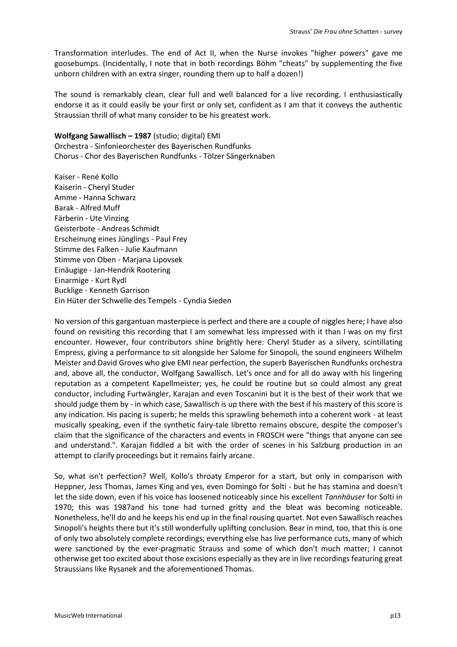Transformation interludes. The end of Act II, when the Nurse invokes "higher powers" gave me goosebumps. (Incidentally, I note that in both recordings Böhm "cheats" by supplementing the five unborn children with an extra singer, rounding them up to half a dozen!)

The sound is remarkably clean, clear full and well balanced for a live recording. I enthusiastically endorse it as it could easily be your first or only set, confident as I am that it conveys the authentic Straussian thrill of what many consider to be his greatest work.

**Wolfgang Sawallisch – 1987** (studio; digital) EMI Orchestra - Sinfonieorchester des Bayerischen Rundfunks Chorus - Chor des Bayerischen Rundfunks - Tölzer Sängerknaben

Kaiser - René Kollo Kaiserin - Cheryl Studer Amme - Hanna Schwarz Barak - Alfred Muff Färberin - Ute Vinzing Geisterbote - Andreas Schmidt Erscheinung eines Jünglings - Paul Frey Stimme des Falken - Julie Kaufmann Stimme von Oben - Marjana Lipovsek Einäugige - Jan-Hendrik Rootering Einarmige - Kurt Rydl Bucklige - Kenneth Garrison Ein Hüter der Schwelle des Tempels - Cyndia Sieden

No version of this gargantuan masterpiece is perfect and there are a couple of niggles here; I have also found on revisiting this recording that I am somewhat less impressed with it than I was on my first encounter. However, four contributors shine brightly here: Cheryl Studer as a silvery, scintillating Empress, giving a performance to sit alongside her Salome for Sinopoli, the sound engineers Wilhelm Meister and David Groves who give EMI near perfection, the superb Bayerischen Rundfunks orchestra and, above all, the conductor, Wolfgang Sawallisch. Let's once and for all do away with his lingering reputation as a competent Kapellmeister; yes, he could be routine but so could almost any great conductor, including Furtwängler, Karajan and even Toscanini but it is the best of their work that we should judge them by - in which case, Sawallisch is up there with the best if his mastery of this score is any indication. His pacing is superb; he melds this sprawling behemoth into a coherent work - at least musically speaking, even if the synthetic fairy-tale libretto remains obscure, despite the composer's claim that the significance of the characters and events in FROSCH were "things that anyone can see and understand.". Karajan fiddled a bit with the order of scenes in his Salzburg production in an attempt to clarify proceedings but it remains fairly arcane.

So, what isn't perfection? Well, Kollo's throaty Emperor for a start, but only in comparison with Heppner, Jess Thomas, James King and yes, even Domingo for Solti - but he has stamina and doesn't let the side down, even if his voice has loosened noticeably since his excellent *Tannhäuser* for Solti in 1970; this was 1987and his tone had turned gritty and the bleat was becoming noticeable. Nonetheless, he'll do and he keeps his end up in the final rousing quartet. Not even Sawallisch reaches Sinopoli's heights there but it's still wonderfully uplifting conclusion. Bear in mind, too, that this is one of only two absolutely complete recordings; everything else has live performance cuts, many of which were sanctioned by the ever-pragmatic Strauss and some of which don't much matter; I cannot otherwise get too excited about those excisions especially as they are in live recordings featuring great Straussians like Rysanek and the aforementioned Thomas.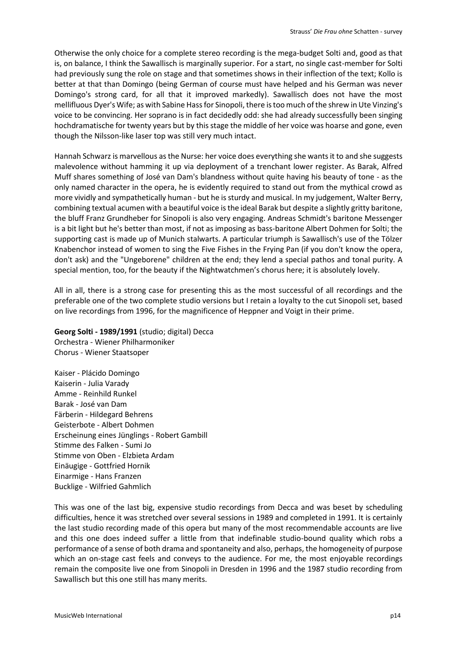Otherwise the only choice for a complete stereo recording is the mega-budget Solti and, good as that is, on balance, I think the Sawallisch is marginally superior. For a start, no single cast-member for Solti had previously sung the role on stage and that sometimes shows in their inflection of the text; Kollo is better at that than Domingo (being German of course must have helped and his German was never Domingo's strong card, for all that it improved markedly). Sawallisch does not have the most mellifluous Dyer's Wife; as with Sabine Hass for Sinopoli, there is too much of the shrew in Ute Vinzing's voice to be convincing. Her soprano is in fact decidedly odd: she had already successfully been singing hochdramatische for twenty years but by this stage the middle of her voice was hoarse and gone, even though the Nilsson-like laser top was still very much intact.

Hannah Schwarz is marvellous as the Nurse: her voice does everything she wants it to and she suggests malevolence without hamming it up via deployment of a trenchant lower register. As Barak, Alfred Muff shares something of José van Dam's blandness without quite having his beauty of tone - as the only named character in the opera, he is evidently required to stand out from the mythical crowd as more vividly and sympathetically human - but he is sturdy and musical. In my judgement, Walter Berry, combining textual acumen with a beautiful voice is the ideal Barak but despite a slightly gritty baritone, the bluff Franz Grundheber for Sinopoli is also very engaging. Andreas Schmidt's baritone Messenger is a bit light but he's better than most, if not as imposing as bass-baritone Albert Dohmen for Solti; the supporting cast is made up of Munich stalwarts. A particular triumph is Sawallisch's use of the Tölzer Knabenchor instead of women to sing the Five Fishes in the Frying Pan (if you don't know the opera, don't ask) and the "Ungeborene" children at the end; they lend a special pathos and tonal purity. A special mention, too, for the beauty if the Nightwatchmen's chorus here; it is absolutely lovely.

All in all, there is a strong case for presenting this as the most successful of all recordings and the preferable one of the two complete studio versions but I retain a loyalty to the cut Sinopoli set, based on live recordings from 1996, for the magnificence of Heppner and Voigt in their prime.

# **Georg Solti - 1989/1991** (studio; digital) Decca

Orchestra - Wiener Philharmoniker Chorus - Wiener Staatsoper

Kaiser - Plácido Domingo Kaiserin - Julia Varady Amme - Reinhild Runkel Barak - José van Dam Färberin - Hildegard Behrens Geisterbote - Albert Dohmen Erscheinung eines Jünglings - Robert Gambill Stimme des Falken - Sumi Jo Stimme von Oben - Elzbieta Ardam Einäugige - Gottfried Hornik Einarmige - Hans Franzen Bucklige - Wilfried Gahmlich

This was one of the last big, expensive studio recordings from Decca and was beset by scheduling difficulties, hence it was stretched over several sessions in 1989 and completed in 1991. It is certainly the last studio recording made of this opera but many of the most recommendable accounts are live and this one does indeed suffer a little from that indefinable studio-bound quality which robs a performance of a sense of both drama and spontaneity and also, perhaps, the homogeneity of purpose which an on-stage cast feels and conveys to the audience. For me, the most enjoyable recordings remain the composite live one from Sinopoli in Dresden in 1996 and the 1987 studio recording from Sawallisch but this one still has many merits.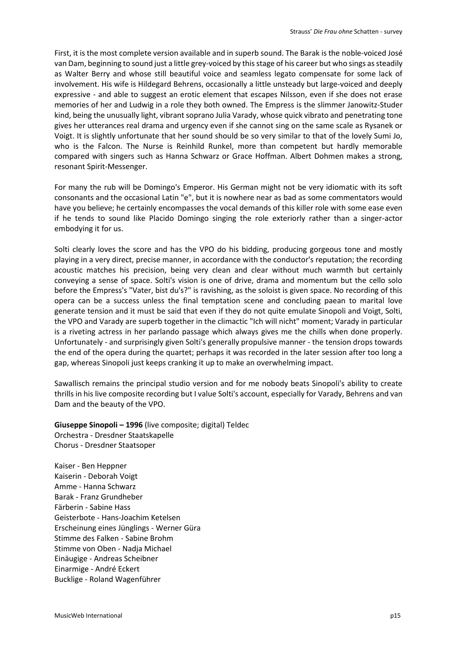First, it is the most complete version available and in superb sound. The Barak is the noble-voiced José van Dam, beginning to sound just a little grey-voiced by this stage of his career but who sings as steadily as Walter Berry and whose still beautiful voice and seamless legato compensate for some lack of involvement. His wife is Hildegard Behrens, occasionally a little unsteady but large-voiced and deeply expressive - and able to suggest an erotic element that escapes Nilsson, even if she does not erase memories of her and Ludwig in a role they both owned. The Empress is the slimmer Janowitz-Studer kind, being the unusually light, vibrant soprano Julia Varady, whose quick vibrato and penetrating tone gives her utterances real drama and urgency even if she cannot sing on the same scale as Rysanek or Voigt. It is slightly unfortunate that her sound should be so very similar to that of the lovely Sumi Jo, who is the Falcon. The Nurse is Reinhild Runkel, more than competent but hardly memorable compared with singers such as Hanna Schwarz or Grace Hoffman. Albert Dohmen makes a strong, resonant Spirit-Messenger.

For many the rub will be Domingo's Emperor. His German might not be very idiomatic with its soft consonants and the occasional Latin "e", but it is nowhere near as bad as some commentators would have you believe; he certainly encompasses the vocal demands of this killer role with some ease even if he tends to sound like Placido Domingo singing the role exteriorly rather than a singer-actor embodying it for us.

Solti clearly loves the score and has the VPO do his bidding, producing gorgeous tone and mostly playing in a very direct, precise manner, in accordance with the conductor's reputation; the recording acoustic matches his precision, being very clean and clear without much warmth but certainly conveying a sense of space. Solti's vision is one of drive, drama and momentum but the cello solo before the Empress's "Vater, bist du's?" is ravishing, as the soloist is given space. No recording of this opera can be a success unless the final temptation scene and concluding paean to marital love generate tension and it must be said that even if they do not quite emulate Sinopoli and Voigt, Solti, the VPO and Varady are superb together in the climactic "Ich will nicht" moment; Varady in particular is a riveting actress in her parlando passage which always gives me the chills when done properly. Unfortunately - and surprisingly given Solti's generally propulsive manner - the tension drops towards the end of the opera during the quartet; perhaps it was recorded in the later session after too long a gap, whereas Sinopoli just keeps cranking it up to make an overwhelming impact.

Sawallisch remains the principal studio version and for me nobody beats Sinopoli's ability to create thrills in his live composite recording but I value Solti's account, especially for Varady, Behrens and van Dam and the beauty of the VPO.

**Giuseppe Sinopoli – 1996** (live composite; digital) Teldec Orchestra - Dresdner Staatskapelle Chorus - Dresdner Staatsoper

Kaiser - Ben Heppner Kaiserin - Deborah Voigt Amme - Hanna Schwarz Barak - Franz Grundheber Färberin - Sabine Hass Geisterbote - Hans-Joachim Ketelsen Erscheinung eines Jünglings - Werner Güra Stimme des Falken - Sabine Brohm Stimme von Oben - Nadja Michael Einäugige - Andreas Scheibner Einarmige - André Eckert Bucklige - Roland Wagenführer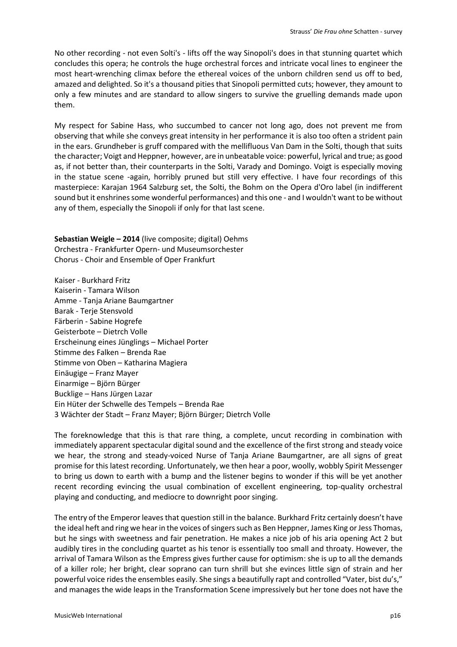No other recording - not even Solti's - lifts off the way Sinopoli's does in that stunning quartet which concludes this opera; he controls the huge orchestral forces and intricate vocal lines to engineer the most heart-wrenching climax before the ethereal voices of the unborn children send us off to bed, amazed and delighted. So it's a thousand pities that Sinopoli permitted cuts; however, they amount to only a few minutes and are standard to allow singers to survive the gruelling demands made upon them.

My respect for Sabine Hass, who succumbed to cancer not long ago, does not prevent me from observing that while she conveys great intensity in her performance it is also too often a strident pain in the ears. Grundheber is gruff compared with the mellifluous Van Dam in the Solti, though that suits the character; Voigt and Heppner, however, are in unbeatable voice: powerful, lyrical and true; as good as, if not better than, their counterparts in the Solti, Varady and Domingo. Voigt is especially moving in the statue scene -again, horribly pruned but still very effective. I have four recordings of this masterpiece: Karajan 1964 Salzburg set, the Solti, the Bohm on the Opera d'Oro label (in indifferent sound but it enshrines some wonderful performances) and this one - and I wouldn't want to be without any of them, especially the Sinopoli if only for that last scene.

**Sebastian Weigle – 2014** (live composite; digital) Oehms Orchestra - Frankfurter Opern- und Museumsorchester Chorus - Choir and Ensemble of Oper Frankfurt

Kaiser - Burkhard Fritz Kaiserin - Tamara Wilson Amme - Tanja Ariane Baumgartner Barak - Terje Stensvold Färberin - Sabine Hogrefe Geisterbote – Dietrch Volle Erscheinung eines Jünglings – Michael Porter Stimme des Falken – Brenda Rae Stimme von Oben – Katharina Magiera Einäugige – Franz Mayer Einarmige – Björn Bürger Bucklige – Hans Jürgen Lazar Ein Hüter der Schwelle des Tempels – Brenda Rae 3 Wächter der Stadt – Franz Mayer; Björn Bürger; Dietrch Volle

The foreknowledge that this is that rare thing, a complete, uncut recording in combination with immediately apparent spectacular digital sound and the excellence of the first strong and steady voice we hear, the strong and steady-voiced Nurse of Tanja Ariane Baumgartner, are all signs of great promise for this latest recording. Unfortunately, we then hear a poor, woolly, wobbly Spirit Messenger to bring us down to earth with a bump and the listener begins to wonder if this will be yet another recent recording evincing the usual combination of excellent engineering, top-quality orchestral playing and conducting, and mediocre to downright poor singing.

The entry of the Emperor leaves that question still in the balance. Burkhard Fritz certainly doesn't have the ideal heft and ring we hear in the voices of singers such as Ben Heppner, James King or Jess Thomas, but he sings with sweetness and fair penetration. He makes a nice job of his aria opening Act 2 but audibly tires in the concluding quartet as his tenor is essentially too small and throaty. However, the arrival of Tamara Wilson as the Empress gives further cause for optimism: she is up to all the demands of a killer role; her bright, clear soprano can turn shrill but she evinces little sign of strain and her powerful voice rides the ensembles easily. She sings a beautifully rapt and controlled "Vater, bist du's," and manages the wide leaps in the Transformation Scene impressively but her tone does not have the